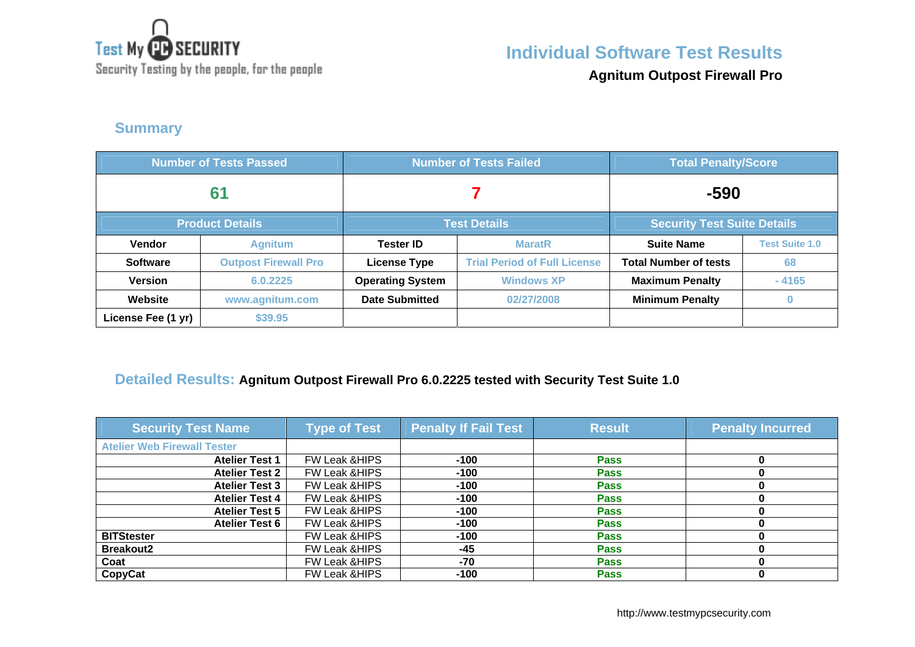

**Individual Software Test Results**

Security Testing by the people, for the people

**Agnitum Outpost Firewall Pro**

#### **Summary**

| <b>Number of Tests Passed</b> |                             |                         | <b>Number of Tests Failed</b>       | <b>Total Penalty/Score</b>         |                       |
|-------------------------------|-----------------------------|-------------------------|-------------------------------------|------------------------------------|-----------------------|
| 61                            |                             |                         |                                     | $-590$                             |                       |
|                               | <b>Product Details</b>      | <b>Test Details</b>     |                                     | <b>Security Test Suite Details</b> |                       |
| <b>Vendor</b>                 | <b>Agnitum</b>              | <b>Tester ID</b>        | <b>MaratR</b>                       | <b>Suite Name</b>                  | <b>Test Suite 1.0</b> |
| <b>Software</b>               | <b>Outpost Firewall Pro</b> | <b>License Type</b>     | <b>Trial Period of Full License</b> | <b>Total Number of tests</b>       | 68                    |
| <b>Version</b>                | 6.0.2225                    | <b>Operating System</b> | <b>Windows XP</b>                   | <b>Maximum Penalty</b>             | $-4165$               |
| Website                       | www.agnitum.com             | <b>Date Submitted</b>   | 02/27/2008                          | <b>Minimum Penalty</b>             |                       |
| License Fee (1 yr)            | \$39.95                     |                         |                                     |                                    |                       |

#### **Detailed Results: Agnitum Outpost Firewall Pro 6.0.2225 tested with Security Test Suite 1.0**

| <b>Security Test Name</b>          | <b>Type of Test</b>      | <b>Penalty If Fail Test</b> | <b>Result</b> | <b>Penalty Incurred</b> |
|------------------------------------|--------------------------|-----------------------------|---------------|-------------------------|
| <b>Atelier Web Firewall Tester</b> |                          |                             |               |                         |
| <b>Atelier Test 1</b>              | FW Leak & HIPS           | $-100$                      | <b>Pass</b>   |                         |
| <b>Atelier Test 2</b>              | <b>FW Leak &amp;HIPS</b> | $-100$                      | <b>Pass</b>   |                         |
| <b>Atelier Test 3</b>              | <b>FW Leak &amp;HIPS</b> | $-100$                      | <b>Pass</b>   |                         |
| <b>Atelier Test 4</b>              | <b>FW Leak &amp;HIPS</b> | $-100$                      | <b>Pass</b>   |                         |
| <b>Atelier Test 5</b>              | <b>FW Leak &amp;HIPS</b> | $-100$                      | <b>Pass</b>   |                         |
| <b>Atelier Test 6</b>              | FW Leak & HIPS           | $-100$                      | <b>Pass</b>   |                         |
| <b>BITStester</b>                  | <b>FW Leak &amp;HIPS</b> | $-100$                      | <b>Pass</b>   |                         |
| <b>Breakout2</b>                   | <b>FW Leak &amp;HIPS</b> | $-45$                       | <b>Pass</b>   |                         |
| Coat                               | <b>FW Leak &amp;HIPS</b> | $-70$                       | <b>Pass</b>   |                         |
| CopyCat                            | <b>FW Leak &amp;HIPS</b> | $-100$                      | <b>Pass</b>   |                         |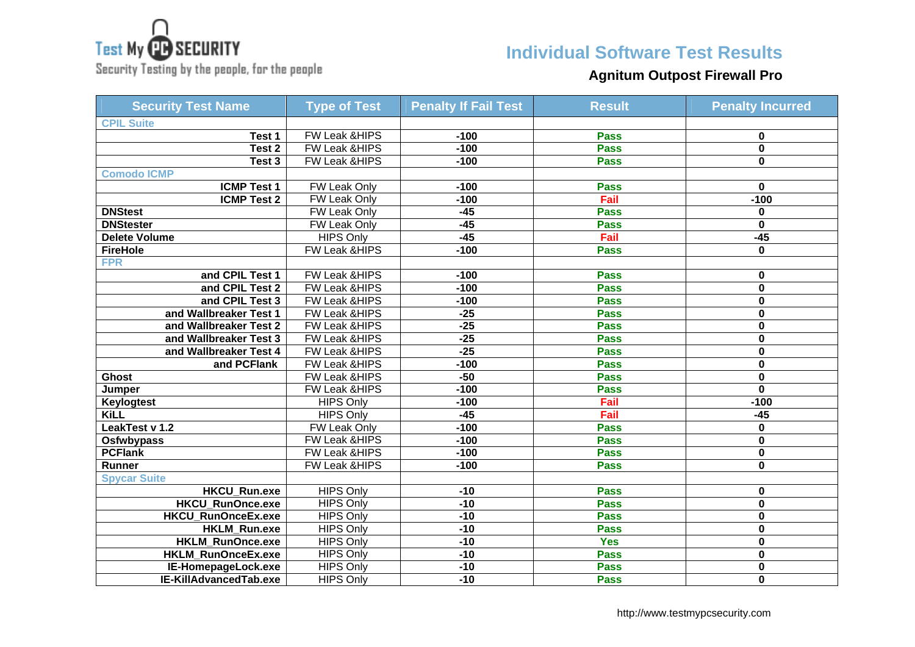

Security Testing by the people, for the people

# **Individual Software Test Results**

## **Agnitum Outpost Firewall Pro**

| <b>Security Test Name</b> | <b>Type of Test</b>      | <b>Penalty If Fail Test</b> | <b>Result</b> | <b>Penalty Incurred</b> |
|---------------------------|--------------------------|-----------------------------|---------------|-------------------------|
| <b>CPIL Suite</b>         |                          |                             |               |                         |
| Test 1                    | FW Leak &HIPS            | $-100$                      | <b>Pass</b>   | 0                       |
| Test <sub>2</sub>         | <b>FW Leak &amp;HIPS</b> | $-100$                      | <b>Pass</b>   | $\mathbf 0$             |
| Test 3                    | <b>FW Leak &amp;HIPS</b> | $-100$                      | <b>Pass</b>   | $\mathbf 0$             |
| <b>Comodo ICMP</b>        |                          |                             |               |                         |
| <b>ICMP Test 1</b>        | <b>FW Leak Only</b>      | $-100$                      | <b>Pass</b>   | 0                       |
| <b>ICMP Test 2</b>        | FW Leak Only             | $-100$                      | Fail          | $-100$                  |
| <b>DNStest</b>            | <b>FW Leak Only</b>      | $-45$                       | <b>Pass</b>   | 0                       |
| <b>DNStester</b>          | FW Leak Only             | $-45$                       | <b>Pass</b>   | $\mathbf 0$             |
| <b>Delete Volume</b>      | <b>HIPS Only</b>         | $-45$                       | Fail          | $-45$                   |
| <b>FireHole</b>           | FW Leak &HIPS            | $-100$                      | <b>Pass</b>   | $\mathbf{0}$            |
| <b>FPR</b>                |                          |                             |               |                         |
| and CPIL Test 1           | <b>FW Leak &amp;HIPS</b> | $-100$                      | <b>Pass</b>   | 0                       |
| and CPIL Test 2           | FW Leak & HIPS           | $-100$                      | <b>Pass</b>   | 0                       |
| and CPIL Test 3           | FW Leak &HIPS            | $-100$                      | <b>Pass</b>   | 0                       |
| and Wallbreaker Test 1    | FW Leak &HIPS            | $-25$                       | <b>Pass</b>   | 0                       |
| and Wallbreaker Test 2    | FW Leak &HIPS            | $-25$                       | <b>Pass</b>   | $\mathbf 0$             |
| and Wallbreaker Test 3    | FW Leak &HIPS            | $-25$                       | <b>Pass</b>   | $\mathbf 0$             |
| and Wallbreaker Test 4    | FW Leak &HIPS            | $-25$                       | <b>Pass</b>   | $\mathbf 0$             |
| and PCFlank               | <b>FW Leak &amp;HIPS</b> | $-100$                      | <b>Pass</b>   | $\mathbf 0$             |
| <b>Ghost</b>              | FW Leak &HIPS            | $-50$                       | <b>Pass</b>   | $\mathbf 0$             |
| Jumper                    | <b>FW Leak &amp;HIPS</b> | $-100$                      | <b>Pass</b>   | $\mathbf 0$             |
| <b>Keylogtest</b>         | <b>HIPS Only</b>         | $-100$                      | Fail          | $-100$                  |
| <b>KiLL</b>               | <b>HIPS Only</b>         | $-45$                       | Fail          | $-45$                   |
| LeakTest v 1.2            | FW Leak Only             | $-100$                      | <b>Pass</b>   | 0                       |
| Osfwbypass                | FW Leak &HIPS            | $-100$                      | <b>Pass</b>   | 0                       |
| <b>PCFlank</b>            | FW Leak & HIPS           | $-100$                      | <b>Pass</b>   | 0                       |
| Runner                    | <b>FW Leak &amp;HIPS</b> | $-100$                      | <b>Pass</b>   | 0                       |
| <b>Spycar Suite</b>       |                          |                             |               |                         |
| <b>HKCU Run.exe</b>       | <b>HIPS Only</b>         | $-10$                       | <b>Pass</b>   | 0                       |
| <b>HKCU RunOnce.exe</b>   | <b>HIPS Only</b>         | $-10$                       | <b>Pass</b>   | 0                       |
| <b>HKCU_RunOnceEx.exe</b> | <b>HIPS Only</b>         | $-10$                       | <b>Pass</b>   | $\mathbf 0$             |
| HKLM_Run.exe              | <b>HIPS Only</b>         | $-10$                       | <b>Pass</b>   | $\mathbf 0$             |
| <b>HKLM RunOnce.exe</b>   | <b>HIPS Only</b>         | $-10$                       | <b>Yes</b>    | 0                       |
| HKLM_RunOnceEx.exe        | <b>HIPS Only</b>         | $-10$                       | <b>Pass</b>   | $\mathbf 0$             |
| IE-HomepageLock.exe       | <b>HIPS Only</b>         | $-10$                       | <b>Pass</b>   | 0                       |
| IE-KillAdvancedTab.exe    | <b>HIPS Only</b>         | $-10$                       | <b>Pass</b>   | $\mathbf{0}$            |